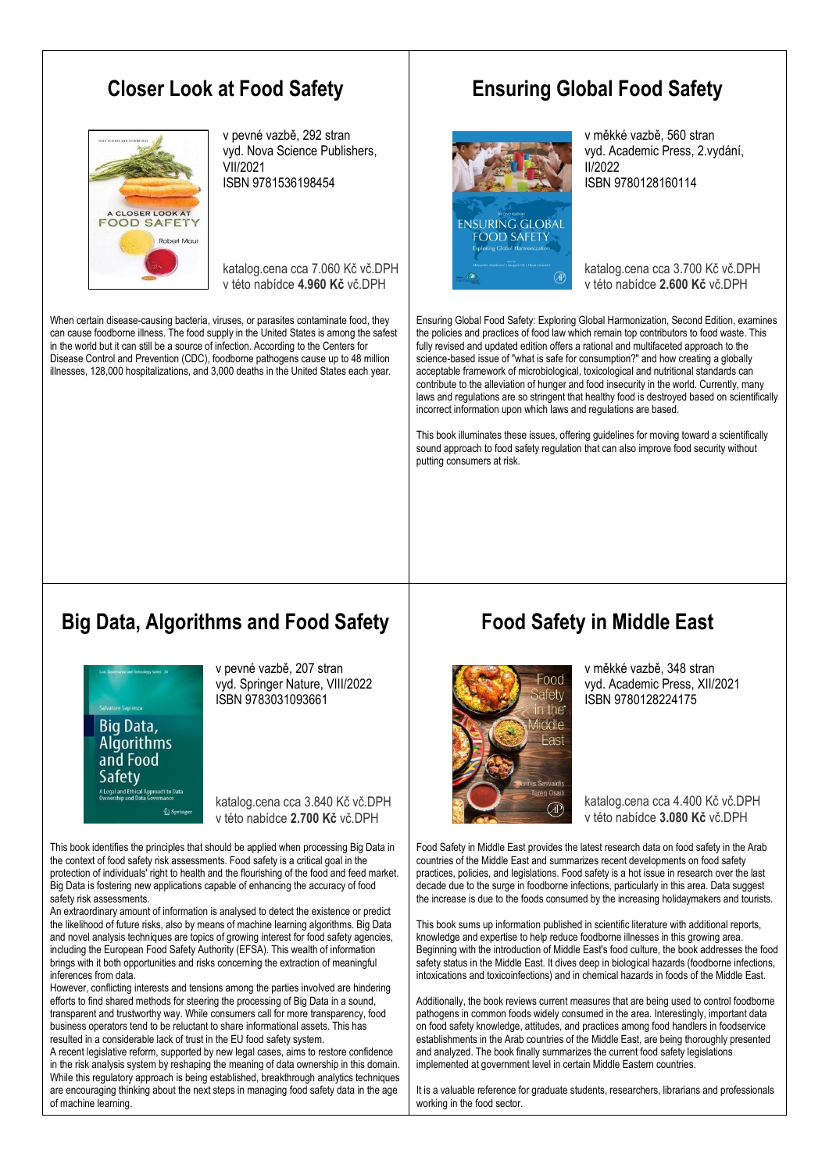#### **Closer Look at Food Safety**



v pevné vazbě, 292 stran vyd. Nova Science Publishers, VII/2021 ISBN 9781536198454

katalog.cena cca 7.060 Kč vč.DPH v této nabídce **4.960 Kč** vč.DPH

When certain disease-causing bacteria, viruses, or parasites contaminate food, they can cause foodborne illness. The food supply in the United States is among the safest in the world but it can still be a source of infection. According to the Centers for Disease Control and Prevention (CDC), foodborne pathogens cause up to 48 million illnesses, 128,000 hospitalizations, and 3,000 deaths in the United States each year.

## **Ensuring Global Food Safety**



v měkké vazbě, 560 stran vyd. Academic Press, 2.vydání, II/2022 ISBN 9780128160114

katalog.cena cca 3.700 Kč vč.DPH v této nabídce **2.600 Kč** vč.DPH

Ensuring Global Food Safety: Exploring Global Harmonization, Second Edition, examines the policies and practices of food law which remain top contributors to food waste. This fully revised and updated edition offers a rational and multifaceted approach to the science-based issue of "what is safe for consumption?" and how creating a globally acceptable framework of microbiological, toxicological and nutritional standards can contribute to the alleviation of hunger and food insecurity in the world. Currently, many laws and regulations are so stringent that healthy food is destroyed based on scientifically incorrect information upon which laws and regulations are based.

This book illuminates these issues, offering guidelines for moving toward a scientifically sound approach to food safety regulation that can also improve food security without putting consumers at risk.

#### **Big Data, Algorithms and Food Safety**



v pevné vazbě, 207 stran vyd. Springer Nature, VIII/2022 ISBN 9783031093661

katalog.cena cca 3.840 Kč vč.DPH v této nabídce **2.700 Kč** vč.DPH

This book identifies the principles that should be applied when processing Big Data in the context of food safety risk assessments. Food safety is a critical goal in the protection of individuals' right to health and the flourishing of the food and feed market. Big Data is fostering new applications capable of enhancing the accuracy of food safety risk assessments.

An extraordinary amount of information is analysed to detect the existence or predict the likelihood of future risks, also by means of machine learning algorithms. Big Data and novel analysis techniques are topics of growing interest for food safety agencies, including the European Food Safety Authority (EFSA). This wealth of information brings with it both opportunities and risks concerning the extraction of meaningful inferences from data.

However, conflicting interests and tensions among the parties involved are hindering efforts to find shared methods for steering the processing of Big Data in a sound, transparent and trustworthy way. While consumers call for more transparency, food business operators tend to be reluctant to share informational assets. This has resulted in a considerable lack of trust in the EU food safety system.

A recent legislative reform, supported by new legal cases, aims to restore confidence in the risk analysis system by reshaping the meaning of data ownership in this domain. While this regulatory approach is being established, breakthrough analytics techniques are encouraging thinking about the next steps in managing food safety data in the age of machine learning.

## **Food Safety in Middle East**



v měkké vazbě, 348 stran vyd. Academic Press, XII/2021 ISBN 9780128224175

katalog.cena cca 4.400 Kč vč.DPH v této nabídce **3.080 Kč** vč.DPH

Food Safety in Middle East provides the latest research data on food safety in the Arab countries of the Middle East and summarizes recent developments on food safety practices, policies, and legislations. Food safety is a hot issue in research over the last decade due to the surge in foodborne infections, particularly in this area. Data suggest the increase is due to the foods consumed by the increasing holidaymakers and tourists.

This book sums up information published in scientific literature with additional reports, knowledge and expertise to help reduce foodborne illnesses in this growing area. Beginning with the introduction of Middle East's food culture, the book addresses the food safety status in the Middle East. It dives deep in biological hazards (foodborne infections, intoxications and toxicoinfections) and in chemical hazards in foods of the Middle East.

Additionally, the book reviews current measures that are being used to control foodborne pathogens in common foods widely consumed in the area. Interestingly, important data on food safety knowledge, attitudes, and practices among food handlers in foodservice establishments in the Arab countries of the Middle East, are being thoroughly presented and analyzed. The book finally summarizes the current food safety legislations implemented at government level in certain Middle Eastern countries.

It is a valuable reference for graduate students, researchers, librarians and professionals working in the food sector.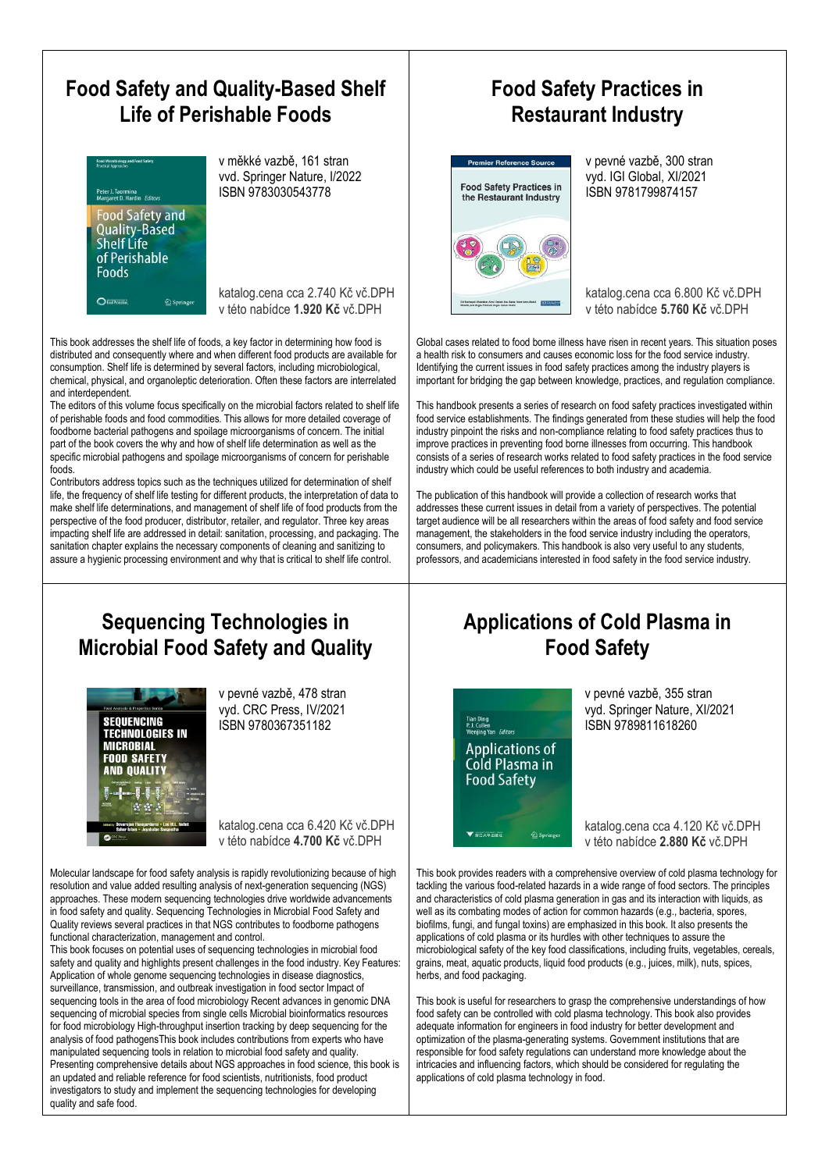# **Food Safety and Quality-Based Shelf Life of Perishable Foods**



v měkké vazbě, 161 stran vvd. Springer Nature, I/2022 ISBN 9783030543778

katalog.cena cca 2.740 Kč vč.DPH v této nabídce **1.920 Kč** vč.DPH

This book addresses the shelf life of foods, a key factor in determining how food is distributed and consequently where and when different food products are available for consumption. Shelf life is determined by several factors, including microbiological, chemical, physical, and organoleptic deterioration. Often these factors are interrelated and interdependent.

The editors of this volume focus specifically on the microbial factors related to shelf life of perishable foods and food commodities. This allows for more detailed coverage of foodborne bacterial pathogens and spoilage microorganisms of concern. The initial part of the book covers the why and how of shelf life determination as well as the specific microbial pathogens and spoilage microorganisms of concern for perishable foods.

Contributors address topics such as the techniques utilized for determination of shelf life, the frequency of shelf life testing for different products, the interpretation of data to make shelf life determinations, and management of shelf life of food products from the perspective of the food producer, distributor, retailer, and regulator. Three key areas impacting shelf life are addressed in detail: sanitation, processing, and packaging. The sanitation chapter explains the necessary components of cleaning and sanitizing to assure a hygienic processing environment and why that is critical to shelf life control.

#### **Food Safety Practices in Restaurant Industry**



v pevné vazbě, 300 stran vyd. IGI Global, XI/2021 ISBN 9781799874157

katalog.cena cca 6.800 Kč vč.DPH v této nabídce **5.760 Kč** vč.DPH

Global cases related to food borne illness have risen in recent years. This situation poses a health risk to consumers and causes economic loss for the food service industry. Identifying the current issues in food safety practices among the industry players is important for bridging the gap between knowledge, practices, and regulation compliance.

This handbook presents a series of research on food safety practices investigated within food service establishments. The findings generated from these studies will help the food industry pinpoint the risks and non-compliance relating to food safety practices thus to improve practices in preventing food borne illnesses from occurring. This handbook consists of a series of research works related to food safety practices in the food service industry which could be useful references to both industry and academia.

The publication of this handbook will provide a collection of research works that addresses these current issues in detail from a variety of perspectives. The potential target audience will be all researchers within the areas of food safety and food service management, the stakeholders in the food service industry including the operators, consumers, and policymakers. This handbook is also very useful to any students, professors, and academicians interested in food safety in the food service industry.

#### **Sequencing Technologies in Microbial Food Safety and Quality**



v pevné vazbě, 478 stran vyd. CRC Press, IV/2021 ISBN 9780367351182

katalog.cena cca 6.420 Kč vč.DPH v této nabídce **4.700 Kč** vč.DPH

Molecular landscape for food safety analysis is rapidly revolutionizing because of high resolution and value added resulting analysis of next-generation sequencing (NGS) approaches. These modern sequencing technologies drive worldwide advancements in food safety and quality. Sequencing Technologies in Microbial Food Safety and Quality reviews several practices in that NGS contributes to foodborne pathogens functional characterization, management and control.

This book focuses on potential uses of sequencing technologies in microbial food safety and quality and highlights present challenges in the food industry. Key Features: Application of whole genome sequencing technologies in disease diagnostics, surveillance, transmission, and outbreak investigation in food sector Impact of sequencing tools in the area of food microbiology Recent advances in genomic DNA sequencing of microbial species from single cells Microbial bioinformatics resources for food microbiology High-throughput insertion tracking by deep sequencing for the analysis of food pathogensThis book includes contributions from experts who have manipulated sequencing tools in relation to microbial food safety and quality. Presenting comprehensive details about NGS approaches in food science, this book is an updated and reliable reference for food scientists, nutritionists, food product investigators to study and implement the sequencing technologies for developing quality and safe food.

## **Applications of Cold Plasma in Food Safety**



v pevné vazbě, 355 stran vyd. Springer Nature, XI/2021 ISBN 9789811618260

katalog.cena cca 4.120 Kč vč.DPH v této nabídce **2.880 Kč** vč.DPH

This book provides readers with a comprehensive overview of cold plasma technology for tackling the various food-related hazards in a wide range of food sectors. The principles and characteristics of cold plasma generation in gas and its interaction with liquids, as well as its combating modes of action for common hazards (e.g., bacteria, spores, biofilms, fungi, and fungal toxins) are emphasized in this book. It also presents the applications of cold plasma or its hurdles with other techniques to assure the microbiological safety of the key food classifications, including fruits, vegetables, cereals, grains, meat, aquatic products, liquid food products (e.g., juices, milk), nuts, spices, herbs, and food packaging.

This book is useful for researchers to grasp the comprehensive understandings of how food safety can be controlled with cold plasma technology. This book also provides adequate information for engineers in food industry for better development and optimization of the plasma-generating systems. Government institutions that are responsible for food safety regulations can understand more knowledge about the intricacies and influencing factors, which should be considered for regulating the applications of cold plasma technology in food.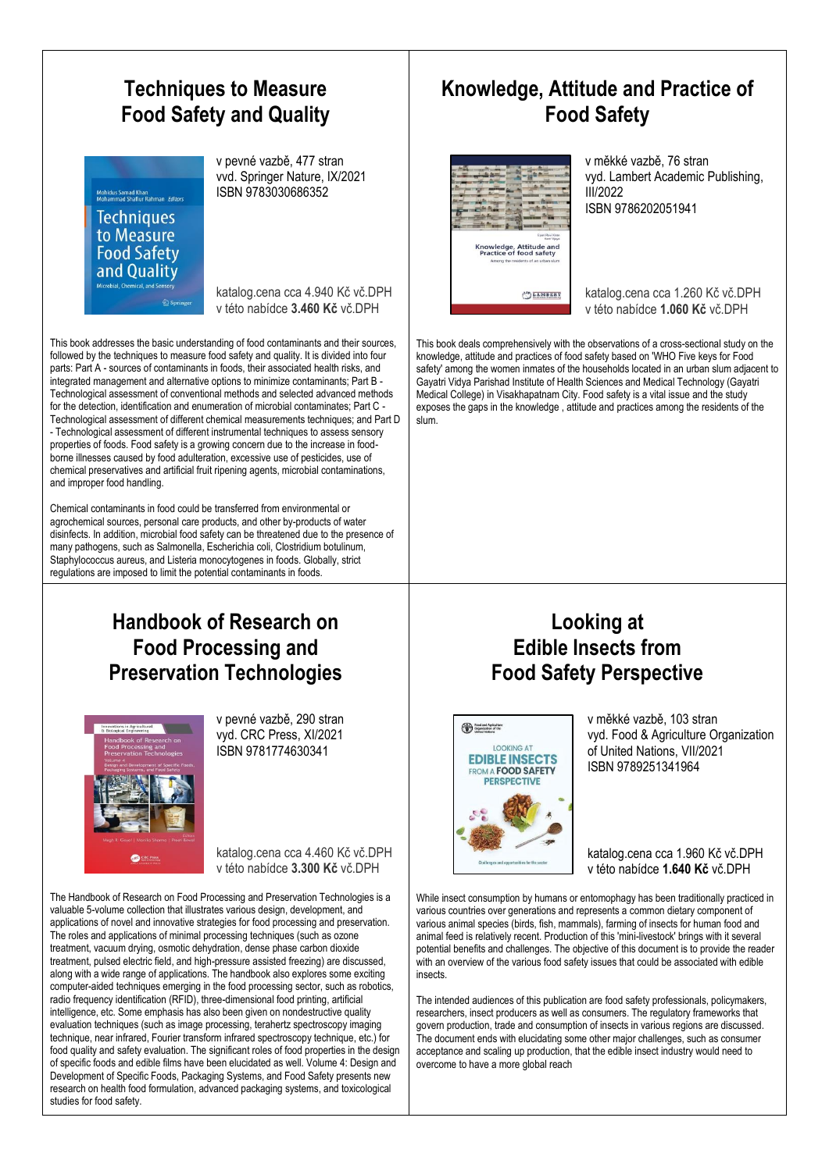

#### **Knowledge, Attitude and Practice of Food Safety**

v měkké vazbě, 76 stran vyd. Lambert Academic Publishing, ISBN 9786202051941

katalog.cena cca 1.260 Kč vč.DPH v této nabídce **1.060 Kč** vč.DPH

This book deals comprehensively with the observations of a cross-sectional study on the knowledge, attitude and practices of food safety based on 'WHO Five keys for Food safety' among the women inmates of the households located in an urban slum adjacent to Gayatri Vidya Parishad Institute of Health Sciences and Medical Technology (Gayatri Medical College) in Visakhapatnam City. Food safety is a vital issue and the study exposes the gaps in the knowledge , attitude and practices among the residents of the slum.

#### **Handbook of Research on Food Processing and Preservation Technologies**

Chemical contaminants in food could be transferred from environmental or agrochemical sources, personal care products, and other by-products of water disinfects. In addition, microbial food safety can be threatened due to the presence of many pathogens, such as Salmonella, Escherichia coli, Clostridium botulinum, Staphylococcus aureus, and Listeria monocytogenes in foods. Globally, strict regulations are imposed to limit the potential contaminants in foods.

This book addresses the basic understanding of food contaminants and their sources, followed by the techniques to measure food safety and quality. It is divided into four parts: Part A - sources of contaminants in foods, their associated health risks, and integrated management and alternative options to minimize contaminants; Part B - Technological assessment of conventional methods and selected advanced methods for the detection, identification and enumeration of microbial contaminates; Part C - Technological assessment of different chemical measurements techniques; and Part D - Technological assessment of different instrumental techniques to assess sensory properties of foods. Food safety is a growing concern due to the increase in foodborne illnesses caused by food adulteration, excessive use of pesticides, use of chemical preservatives and artificial fruit ripening agents, microbial contaminations,



and improper food handling.

v pevné vazbě, 290 stran vyd. CRC Press, XI/2021 ISBN 9781774630341

katalog.cena cca 4.460 Kč vč.DPH v této nabídce **3.300 Kč** vč.DPH

The Handbook of Research on Food Processing and Preservation Technologies is a valuable 5-volume collection that illustrates various design, development, and applications of novel and innovative strategies for food processing and preservation. The roles and applications of minimal processing techniques (such as ozone treatment, vacuum drying, osmotic dehydration, dense phase carbon dioxide treatment, pulsed electric field, and high-pressure assisted freezing) are discussed, along with a wide range of applications. The handbook also explores some exciting computer-aided techniques emerging in the food processing sector, such as robotics, radio frequency identification (RFID), three-dimensional food printing, artificial intelligence, etc. Some emphasis has also been given on nondestructive quality evaluation techniques (such as image processing, terahertz spectroscopy imaging technique, near infrared, Fourier transform infrared spectroscopy technique, etc.) for food quality and safety evaluation. The significant roles of food properties in the design of specific foods and edible films have been elucidated as well. Volume 4: Design and Development of Specific Foods, Packaging Systems, and Food Safety presents new research on health food formulation, advanced packaging systems, and toxicological studies for food safety.

#### **Looking at Edible Insects from Food Safety Perspective**



v měkké vazbě, 103 stran vyd. Food & Agriculture Organization of United Nations, VII/2021 ISBN 9789251341964

katalog.cena cca 1.960 Kč vč.DPH v této nabídce **1.640 Kč** vč.DPH

While insect consumption by humans or entomophagy has been traditionally practiced in various countries over generations and represents a common dietary component of various animal species (birds, fish, mammals), farming of insects for human food and animal feed is relatively recent. Production of this 'mini-livestock' brings with it several potential benefits and challenges. The objective of this document is to provide the reader with an overview of the various food safety issues that could be associated with edible insects.

The intended audiences of this publication are food safety professionals, policymakers, researchers, insect producers as well as consumers. The regulatory frameworks that govern production, trade and consumption of insects in various regions are discussed. The document ends with elucidating some other major challenges, such as consumer acceptance and scaling up production, that the edible insect industry would need to overcome to have a more global reach